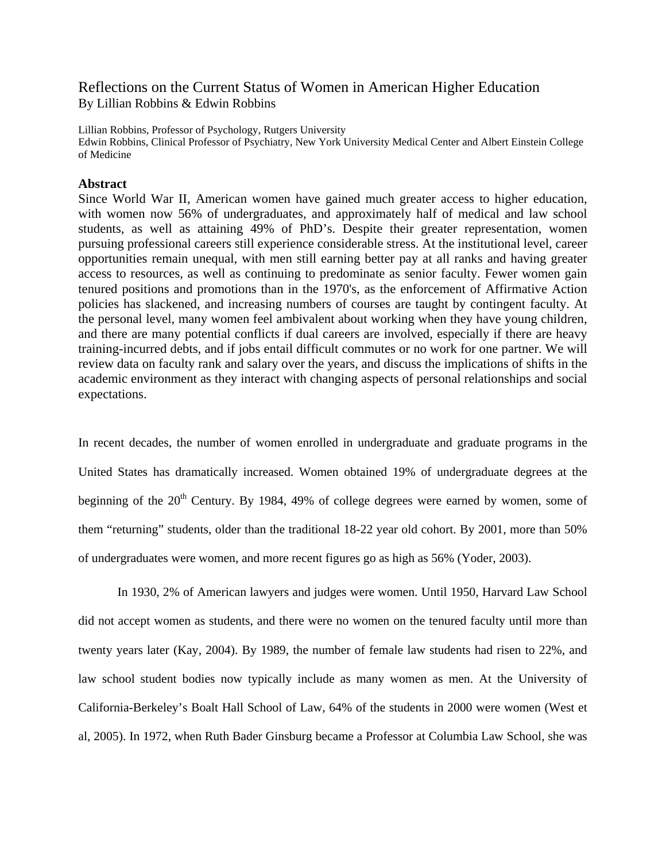# Reflections on the Current Status of Women in American Higher Education By Lillian Robbins & Edwin Robbins

Lillian Robbins, Professor of Psychology, Rutgers University Edwin Robbins, Clinical Professor of Psychiatry, New York University Medical Center and Albert Einstein College of Medicine

# **Abstract**

Since World War II, American women have gained much greater access to higher education, with women now 56% of undergraduates, and approximately half of medical and law school students, as well as attaining 49% of PhD's. Despite their greater representation, women pursuing professional careers still experience considerable stress. At the institutional level, career opportunities remain unequal, with men still earning better pay at all ranks and having greater access to resources, as well as continuing to predominate as senior faculty. Fewer women gain tenured positions and promotions than in the 1970's, as the enforcement of Affirmative Action policies has slackened, and increasing numbers of courses are taught by contingent faculty. At the personal level, many women feel ambivalent about working when they have young children, and there are many potential conflicts if dual careers are involved, especially if there are heavy training-incurred debts, and if jobs entail difficult commutes or no work for one partner. We will review data on faculty rank and salary over the years, and discuss the implications of shifts in the academic environment as they interact with changing aspects of personal relationships and social expectations.

In recent decades, the number of women enrolled in undergraduate and graduate programs in the United States has dramatically increased. Women obtained 19% of undergraduate degrees at the beginning of the  $20<sup>th</sup>$  Century. By 1984, 49% of college degrees were earned by women, some of them "returning" students, older than the traditional 18-22 year old cohort. By 2001, more than 50% of undergraduates were women, and more recent figures go as high as 56% (Yoder, 2003).

In 1930, 2% of American lawyers and judges were women. Until 1950, Harvard Law School did not accept women as students, and there were no women on the tenured faculty until more than twenty years later (Kay, 2004). By 1989, the number of female law students had risen to 22%, and law school student bodies now typically include as many women as men. At the University of California-Berkeley's Boalt Hall School of Law, 64% of the students in 2000 were women (West et al, 2005). In 1972, when Ruth Bader Ginsburg became a Professor at Columbia Law School, she was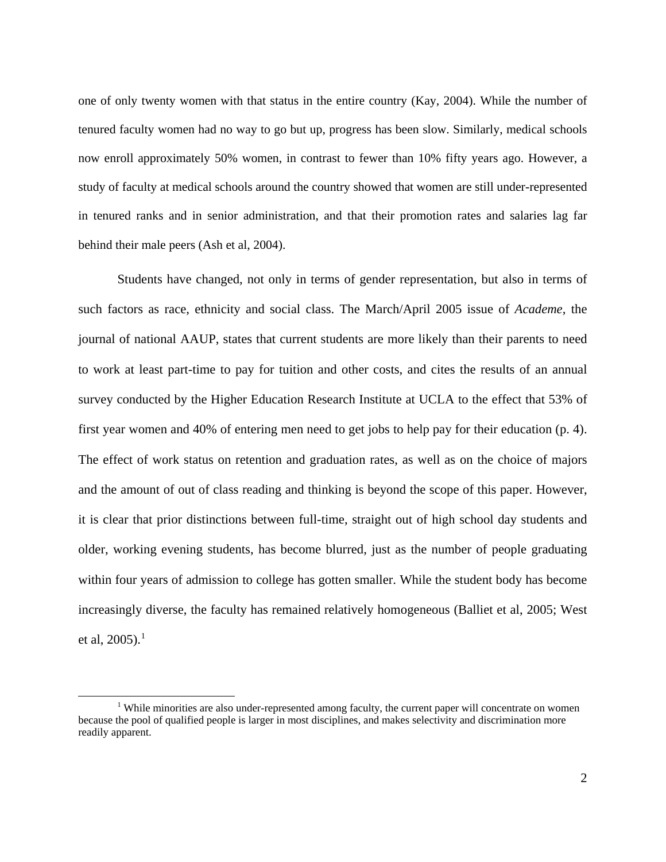one of only twenty women with that status in the entire country (Kay, 2004). While the number of tenured faculty women had no way to go but up, progress has been slow. Similarly, medical schools now enroll approximately 50% women, in contrast to fewer than 10% fifty years ago. However, a study of faculty at medical schools around the country showed that women are still under-represented in tenured ranks and in senior administration, and that their promotion rates and salaries lag far behind their male peers (Ash et al, 2004).

Students have changed, not only in terms of gender representation, but also in terms of such factors as race, ethnicity and social class. The March/April 2005 issue of *Academe*, the journal of national AAUP, states that current students are more likely than their parents to need to work at least part-time to pay for tuition and other costs, and cites the results of an annual survey conducted by the Higher Education Research Institute at UCLA to the effect that 53% of first year women and 40% of entering men need to get jobs to help pay for their education (p. 4). The effect of work status on retention and graduation rates, as well as on the choice of majors and the amount of out of class reading and thinking is beyond the scope of this paper. However, it is clear that prior distinctions between full-time, straight out of high school day students and older, working evening students, has become blurred, just as the number of people graduating within four years of admission to college has gotten smaller. While the student body has become increasingly diverse, the faculty has remained relatively homogeneous (Balliet et al, 2005; West et al, 2005).<sup>[1](#page-1-0)</sup>

<u>.</u>

<span id="page-1-0"></span><sup>&</sup>lt;sup>1</sup> While minorities are also under-represented among faculty, the current paper will concentrate on women because the pool of qualified people is larger in most disciplines, and makes selectivity and discrimination more readily apparent.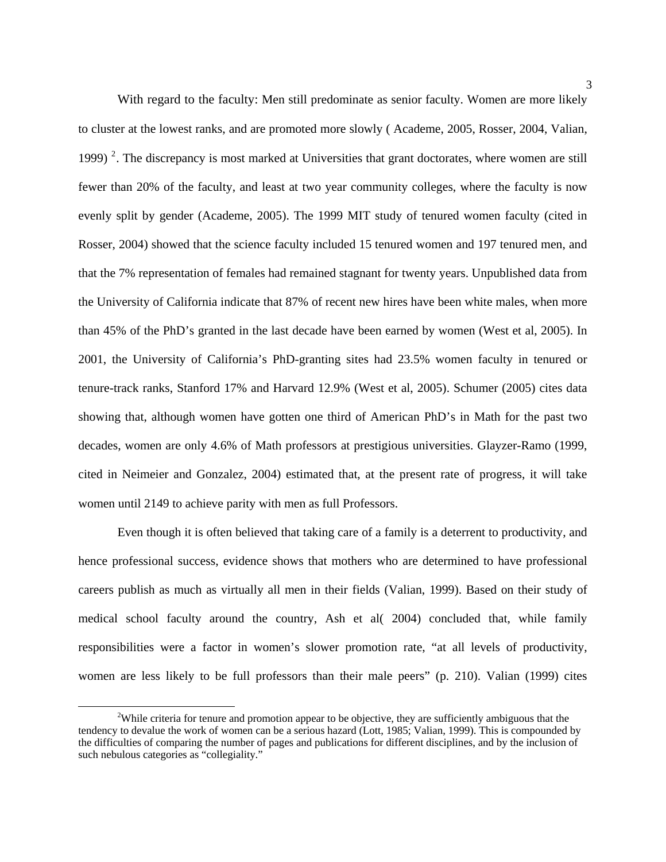With regard to the faculty: Men still predominate as senior faculty. Women are more likely to cluster at the lowest ranks, and are promoted more slowly ( Academe, 2005, Rosser, 2004, Valian, 1999)<sup>[2](#page-2-0)</sup>. The discrepancy is most marked at Universities that grant doctorates, where women are still fewer than 20% of the faculty, and least at two year community colleges, where the faculty is now evenly split by gender (Academe, 2005). The 1999 MIT study of tenured women faculty (cited in Rosser, 2004) showed that the science faculty included 15 tenured women and 197 tenured men, and that the 7% representation of females had remained stagnant for twenty years. Unpublished data from the University of California indicate that 87% of recent new hires have been white males, when more than 45% of the PhD's granted in the last decade have been earned by women (West et al, 2005). In 2001, the University of California's PhD-granting sites had 23.5% women faculty in tenured or tenure-track ranks, Stanford 17% and Harvard 12.9% (West et al, 2005). Schumer (2005) cites data showing that, although women have gotten one third of American PhD's in Math for the past two decades, women are only 4.6% of Math professors at prestigious universities. Glayzer-Ramo (1999, cited in Neimeier and Gonzalez, 2004) estimated that, at the present rate of progress, it will take women until 2149 to achieve parity with men as full Professors.

Even though it is often believed that taking care of a family is a deterrent to productivity, and hence professional success, evidence shows that mothers who are determined to have professional careers publish as much as virtually all men in their fields (Valian, 1999). Based on their study of medical school faculty around the country, Ash et al( 2004) concluded that, while family responsibilities were a factor in women's slower promotion rate, "at all levels of productivity, women are less likely to be full professors than their male peers" (p. 210). Valian (1999) cites

 $\overline{a}$ 

<span id="page-2-0"></span><sup>&</sup>lt;sup>2</sup>While criteria for tenure and promotion appear to be objective, they are sufficiently ambiguous that the tendency to devalue the work of women can be a serious hazard (Lott, 1985; Valian, 1999). This is compounded by the difficulties of comparing the number of pages and publications for different disciplines, and by the inclusion of such nebulous categories as "collegiality."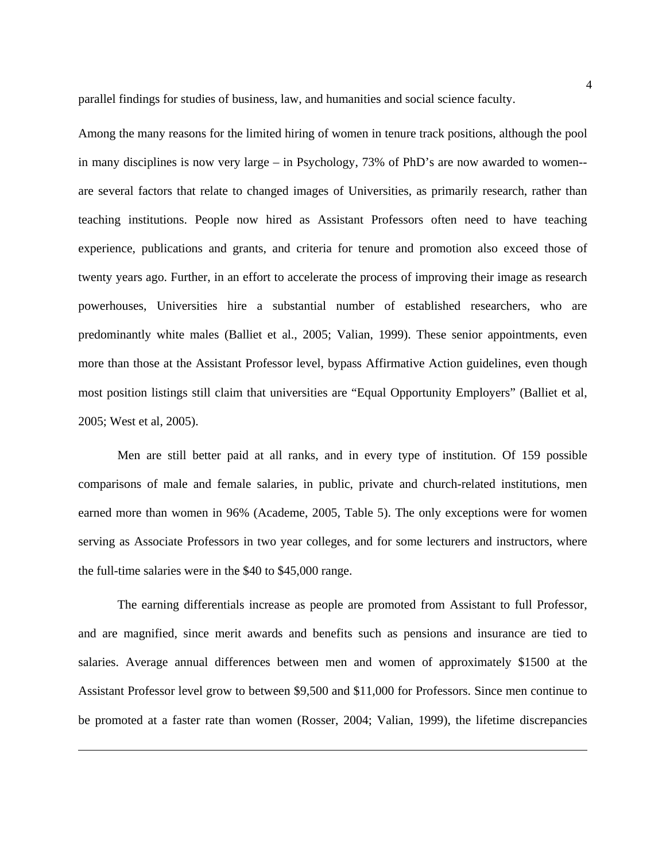parallel findings for studies of business, law, and humanities and social science faculty.

Among the many reasons for the limited hiring of women in tenure track positions, although the pool in many disciplines is now very large – in Psychology, 73% of PhD's are now awarded to women- are several factors that relate to changed images of Universities, as primarily research, rather than teaching institutions. People now hired as Assistant Professors often need to have teaching experience, publications and grants, and criteria for tenure and promotion also exceed those of twenty years ago. Further, in an effort to accelerate the process of improving their image as research powerhouses, Universities hire a substantial number of established researchers, who are predominantly white males (Balliet et al., 2005; Valian, 1999). These senior appointments, even more than those at the Assistant Professor level, bypass Affirmative Action guidelines, even though most position listings still claim that universities are "Equal Opportunity Employers" (Balliet et al, 2005; West et al, 2005).

 Men are still better paid at all ranks, and in every type of institution. Of 159 possible comparisons of male and female salaries, in public, private and church-related institutions, men earned more than women in 96% (Academe, 2005, Table 5). The only exceptions were for women serving as Associate Professors in two year colleges, and for some lecturers and instructors, where the full-time salaries were in the \$40 to \$45,000 range.

The earning differentials increase as people are promoted from Assistant to full Professor, and are magnified, since merit awards and benefits such as pensions and insurance are tied to salaries. Average annual differences between men and women of approximately \$1500 at the Assistant Professor level grow to between \$9,500 and \$11,000 for Professors. Since men continue to be promoted at a faster rate than women (Rosser, 2004; Valian, 1999), the lifetime discrepancies

 $\overline{a}$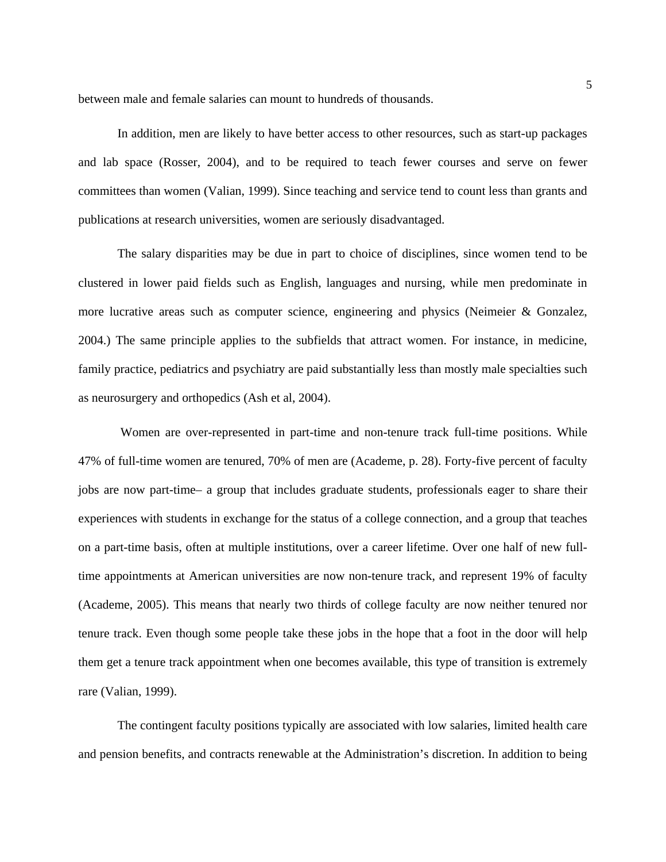between male and female salaries can mount to hundreds of thousands.

In addition, men are likely to have better access to other resources, such as start-up packages and lab space (Rosser, 2004), and to be required to teach fewer courses and serve on fewer committees than women (Valian, 1999). Since teaching and service tend to count less than grants and publications at research universities, women are seriously disadvantaged.

The salary disparities may be due in part to choice of disciplines, since women tend to be clustered in lower paid fields such as English, languages and nursing, while men predominate in more lucrative areas such as computer science, engineering and physics (Neimeier & Gonzalez, 2004.) The same principle applies to the subfields that attract women. For instance, in medicine, family practice, pediatrics and psychiatry are paid substantially less than mostly male specialties such as neurosurgery and orthopedics (Ash et al, 2004).

 Women are over-represented in part-time and non-tenure track full-time positions. While 47% of full-time women are tenured, 70% of men are (Academe, p. 28). Forty-five percent of faculty jobs are now part-time– a group that includes graduate students, professionals eager to share their experiences with students in exchange for the status of a college connection, and a group that teaches on a part-time basis, often at multiple institutions, over a career lifetime. Over one half of new fulltime appointments at American universities are now non-tenure track, and represent 19% of faculty (Academe, 2005). This means that nearly two thirds of college faculty are now neither tenured nor tenure track. Even though some people take these jobs in the hope that a foot in the door will help them get a tenure track appointment when one becomes available, this type of transition is extremely rare (Valian, 1999).

The contingent faculty positions typically are associated with low salaries, limited health care and pension benefits, and contracts renewable at the Administration's discretion. In addition to being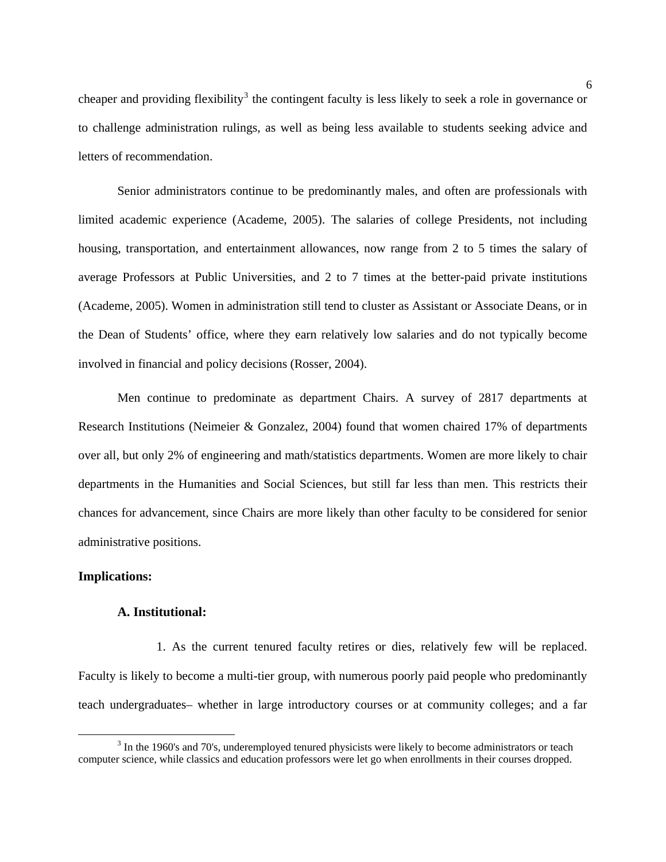cheaper and providing flexibility<sup>[3](#page-5-0)</sup> the contingent faculty is less likely to seek a role in governance or to challenge administration rulings, as well as being less available to students seeking advice and letters of recommendation.

 Senior administrators continue to be predominantly males, and often are professionals with limited academic experience (Academe, 2005). The salaries of college Presidents, not including housing, transportation, and entertainment allowances, now range from 2 to 5 times the salary of average Professors at Public Universities, and 2 to 7 times at the better-paid private institutions (Academe, 2005). Women in administration still tend to cluster as Assistant or Associate Deans, or in the Dean of Students' office, where they earn relatively low salaries and do not typically become involved in financial and policy decisions (Rosser, 2004).

Men continue to predominate as department Chairs. A survey of 2817 departments at Research Institutions (Neimeier & Gonzalez, 2004) found that women chaired 17% of departments over all, but only 2% of engineering and math/statistics departments. Women are more likely to chair departments in the Humanities and Social Sciences, but still far less than men. This restricts their chances for advancement, since Chairs are more likely than other faculty to be considered for senior administrative positions.

#### **Implications:**

 $\overline{a}$ 

## **A. Institutional:**

 1. As the current tenured faculty retires or dies, relatively few will be replaced. Faculty is likely to become a multi-tier group, with numerous poorly paid people who predominantly teach undergraduates– whether in large introductory courses or at community colleges; and a far

<span id="page-5-0"></span><sup>&</sup>lt;sup>3</sup> In the 1960's and 70's, underemployed tenured physicists were likely to become administrators or teach computer science, while classics and education professors were let go when enrollments in their courses dropped.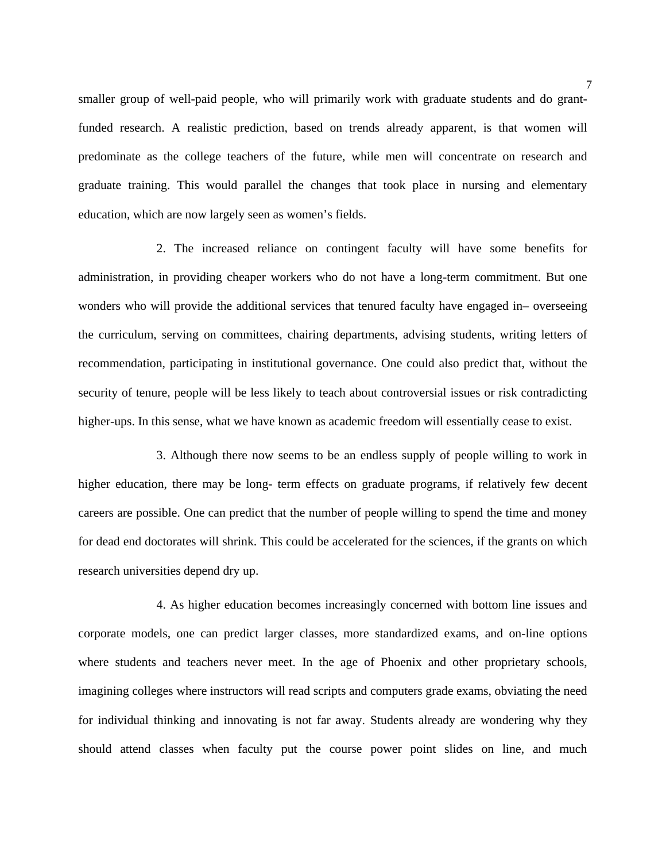smaller group of well-paid people, who will primarily work with graduate students and do grantfunded research. A realistic prediction, based on trends already apparent, is that women will predominate as the college teachers of the future, while men will concentrate on research and graduate training. This would parallel the changes that took place in nursing and elementary education, which are now largely seen as women's fields.

 2. The increased reliance on contingent faculty will have some benefits for administration, in providing cheaper workers who do not have a long-term commitment. But one wonders who will provide the additional services that tenured faculty have engaged in– overseeing the curriculum, serving on committees, chairing departments, advising students, writing letters of recommendation, participating in institutional governance. One could also predict that, without the security of tenure, people will be less likely to teach about controversial issues or risk contradicting higher-ups. In this sense, what we have known as academic freedom will essentially cease to exist.

 3. Although there now seems to be an endless supply of people willing to work in higher education, there may be long- term effects on graduate programs, if relatively few decent careers are possible. One can predict that the number of people willing to spend the time and money for dead end doctorates will shrink. This could be accelerated for the sciences, if the grants on which research universities depend dry up.

 4. As higher education becomes increasingly concerned with bottom line issues and corporate models, one can predict larger classes, more standardized exams, and on-line options where students and teachers never meet. In the age of Phoenix and other proprietary schools, imagining colleges where instructors will read scripts and computers grade exams, obviating the need for individual thinking and innovating is not far away. Students already are wondering why they should attend classes when faculty put the course power point slides on line, and much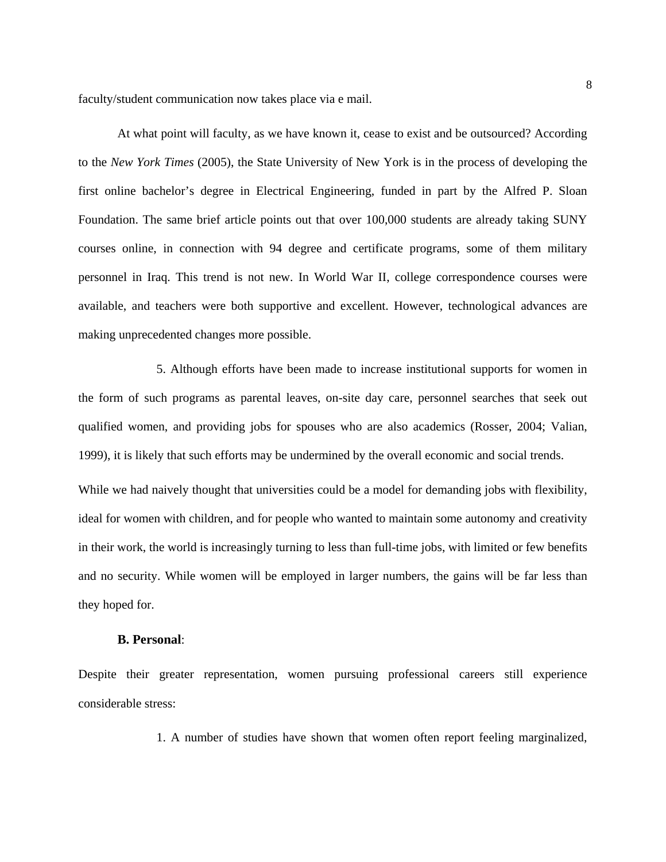faculty/student communication now takes place via e mail.

At what point will faculty, as we have known it, cease to exist and be outsourced? According to the *New York Times* (2005), the State University of New York is in the process of developing the first online bachelor's degree in Electrical Engineering, funded in part by the Alfred P. Sloan Foundation. The same brief article points out that over 100,000 students are already taking SUNY courses online, in connection with 94 degree and certificate programs, some of them military personnel in Iraq. This trend is not new. In World War II, college correspondence courses were available, and teachers were both supportive and excellent. However, technological advances are making unprecedented changes more possible.

 5. Although efforts have been made to increase institutional supports for women in the form of such programs as parental leaves, on-site day care, personnel searches that seek out qualified women, and providing jobs for spouses who are also academics (Rosser, 2004; Valian, 1999), it is likely that such efforts may be undermined by the overall economic and social trends.

While we had naively thought that universities could be a model for demanding jobs with flexibility, ideal for women with children, and for people who wanted to maintain some autonomy and creativity in their work, the world is increasingly turning to less than full-time jobs, with limited or few benefits and no security. While women will be employed in larger numbers, the gains will be far less than they hoped for.

## **B. Personal**:

Despite their greater representation, women pursuing professional careers still experience considerable stress:

1. A number of studies have shown that women often report feeling marginalized,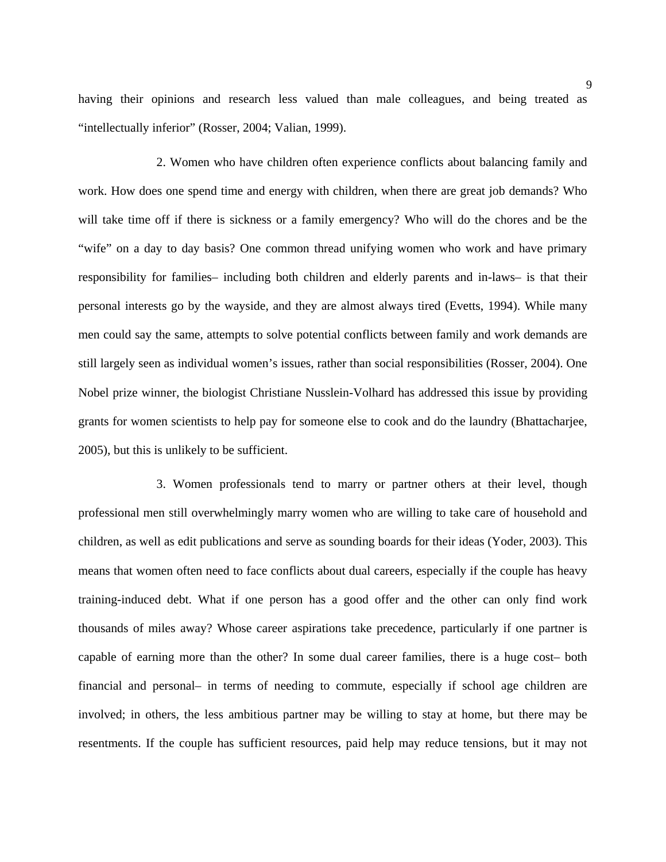having their opinions and research less valued than male colleagues, and being treated as "intellectually inferior" (Rosser, 2004; Valian, 1999).

 2. Women who have children often experience conflicts about balancing family and work. How does one spend time and energy with children, when there are great job demands? Who will take time off if there is sickness or a family emergency? Who will do the chores and be the "wife" on a day to day basis? One common thread unifying women who work and have primary responsibility for families– including both children and elderly parents and in-laws– is that their personal interests go by the wayside, and they are almost always tired (Evetts, 1994). While many men could say the same, attempts to solve potential conflicts between family and work demands are still largely seen as individual women's issues, rather than social responsibilities (Rosser, 2004). One Nobel prize winner, the biologist Christiane Nusslein-Volhard has addressed this issue by providing grants for women scientists to help pay for someone else to cook and do the laundry (Bhattacharjee, 2005), but this is unlikely to be sufficient.

 3. Women professionals tend to marry or partner others at their level, though professional men still overwhelmingly marry women who are willing to take care of household and children, as well as edit publications and serve as sounding boards for their ideas (Yoder, 2003). This means that women often need to face conflicts about dual careers, especially if the couple has heavy training-induced debt. What if one person has a good offer and the other can only find work thousands of miles away? Whose career aspirations take precedence, particularly if one partner is capable of earning more than the other? In some dual career families, there is a huge cost– both financial and personal– in terms of needing to commute, especially if school age children are involved; in others, the less ambitious partner may be willing to stay at home, but there may be resentments. If the couple has sufficient resources, paid help may reduce tensions, but it may not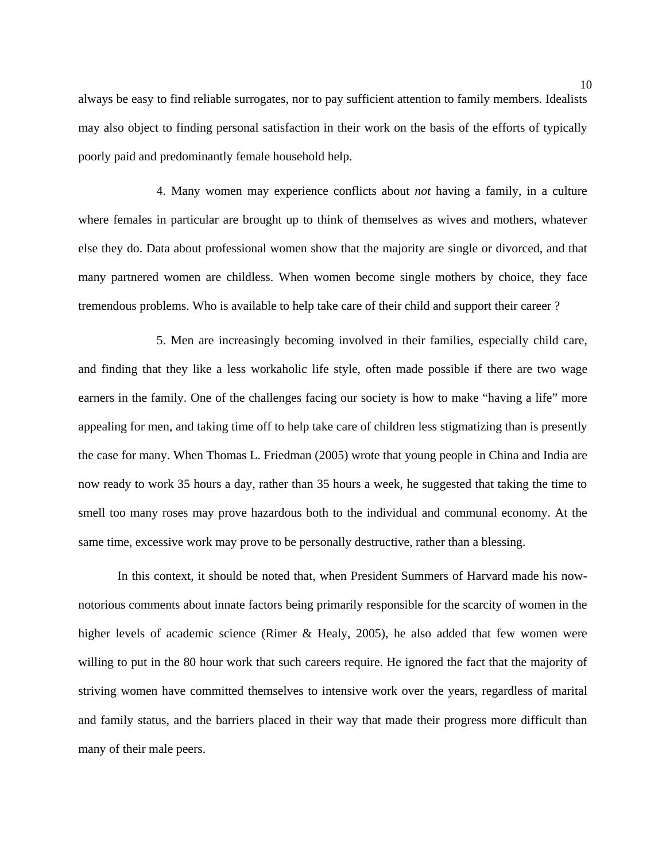always be easy to find reliable surrogates, nor to pay sufficient attention to family members. Idealists may also object to finding personal satisfaction in their work on the basis of the efforts of typically poorly paid and predominantly female household help.

 4. Many women may experience conflicts about *not* having a family, in a culture where females in particular are brought up to think of themselves as wives and mothers, whatever else they do. Data about professional women show that the majority are single or divorced, and that many partnered women are childless. When women become single mothers by choice, they face tremendous problems. Who is available to help take care of their child and support their career ?

 5. Men are increasingly becoming involved in their families, especially child care, and finding that they like a less workaholic life style, often made possible if there are two wage earners in the family. One of the challenges facing our society is how to make "having a life" more appealing for men, and taking time off to help take care of children less stigmatizing than is presently the case for many. When Thomas L. Friedman (2005) wrote that young people in China and India are now ready to work 35 hours a day, rather than 35 hours a week, he suggested that taking the time to smell too many roses may prove hazardous both to the individual and communal economy. At the same time, excessive work may prove to be personally destructive, rather than a blessing.

In this context, it should be noted that, when President Summers of Harvard made his nownotorious comments about innate factors being primarily responsible for the scarcity of women in the higher levels of academic science (Rimer & Healy, 2005), he also added that few women were willing to put in the 80 hour work that such careers require. He ignored the fact that the majority of striving women have committed themselves to intensive work over the years, regardless of marital and family status, and the barriers placed in their way that made their progress more difficult than many of their male peers.